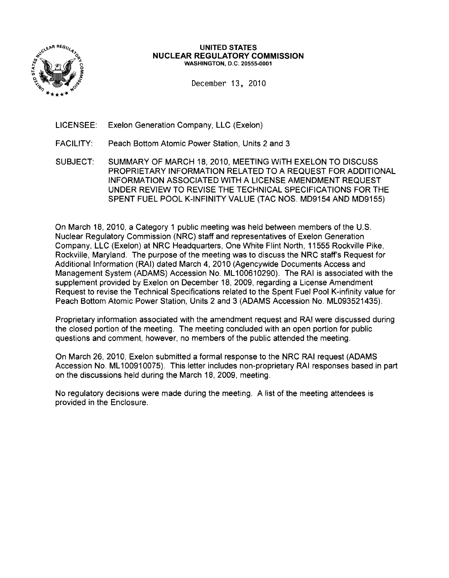

#### UNITED STATES NUCLEAR REGULATORY COMMISSION WASHINGTON, D.C. 20555-0001

December 13, 2010

- LICENSEE: Exelon Generation Company, LLC (Exelon)
- FACILITY: Peach Bottom Atomic Power Station, Units 2 and 3
- SUBJECT: SUMMARY OF MARCH 18, 2010, MEETING WITH EXELON TO DISCUSS PROPRIETARY INFORMATION RELATED TO A REQUEST FOR ADDITIONAL INFORMATION ASSOCIATED WITH A LICENSE AMENDMENT REQUEST UNDER REVIEW TO REVISE THE TECHNICAL SPECIFICATIONS FOR THE SPENT FUEL POOL K-INFINITY VALUE (TAC NOS. MD9154 AND MD9155)

On March 18, 2010, a Category 1 public meeting was held between members of the U.S. Nuclear Regulatory Commission (NRC) staff and representatives of Exelon Generation Company, LLC (Exelon) at NRC Headquarters, One White Flint North, 11555 Rockville Pike, Rockville, Maryland. The purpose of the meeting was to discuss the NRC staff's Request for Additional Information (RAI) dated March 4, 2010 (Agencywide Documents Access and Management System (ADAMS) Accession No. ML100610290). The RAI is associated with the supplement provided by Exelon on December 18, 2009, regarding a License Amendment Request to revise the Technical Specifications related to the Spent Fuel Pool K-infinity value for Peach Bottom Atomic Power Station, Units 2 and 3 (ADAMS Accession No. ML093521435).

Proprietary information associated with the amendment request and RAI were discussed during the closed portion of the meeting. The meeting concluded with an open portion for public questions and comment, however, no members of the public attended the meeting.

On March 26, 2010, Exelon submitted a formal response to the NRC RAI request (ADAMS Accession No. ML100910075). This letter includes non-proprietary RAI responses based in part on the discussions held during the March 18, 2009, meeting.

No regulatory decisions were made during the meeting. A list of the meeting attendees is provided in the Enclosure.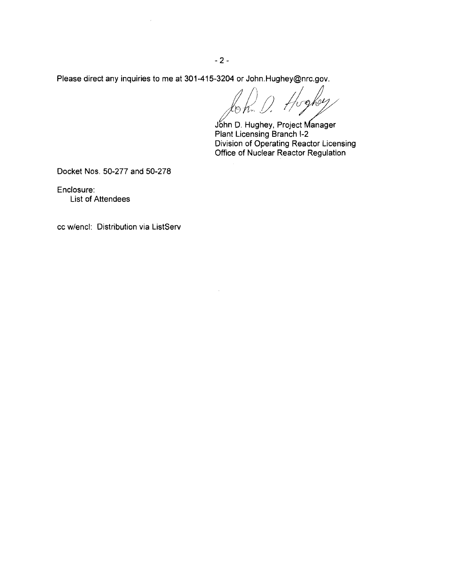$-2-$ 

Please direct any inquiries to me at 301-415-3204 or John.Hughey@nrc.gov.

bokey

John D. Hughey, Project Manager Plant Licensing Branch 1-2 Division of Operating Reactor Licensing Office of Nuclear Reactor Regulation

Docket Nos. 50-277 and 50-278

Enclosure: List of Attendees

cc w/encl: Distribution via ListServ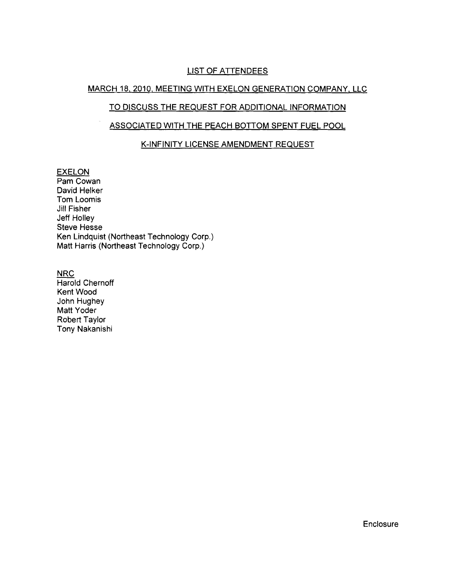### LIST OF ATTENDEES

# MARCH 18, 2010, MEETING WITH EXELON GENERATION COMPANY, LLC

# TO DISCUSS THE REQUEST FOR ADDITIONAL INFORMATION

## ASSOCIATED WITH THE PEACH BOTTOM SPENT FUEL POOL

# K-INFINITY LICENSE AMENDMENT REQUEST

#### EXELON

Pam Cowan David Helker Tom Loomis Jill Fisher Jeff Holley Steve Hesse Ken Lindquist (Northeast Technology Corp.) Matt Harris (Northeast Technology Corp.)

NRC

Harold Chernoff **Kent Wood** John Hughey Matt Yoder Robert Taylor Tony Nakanishi